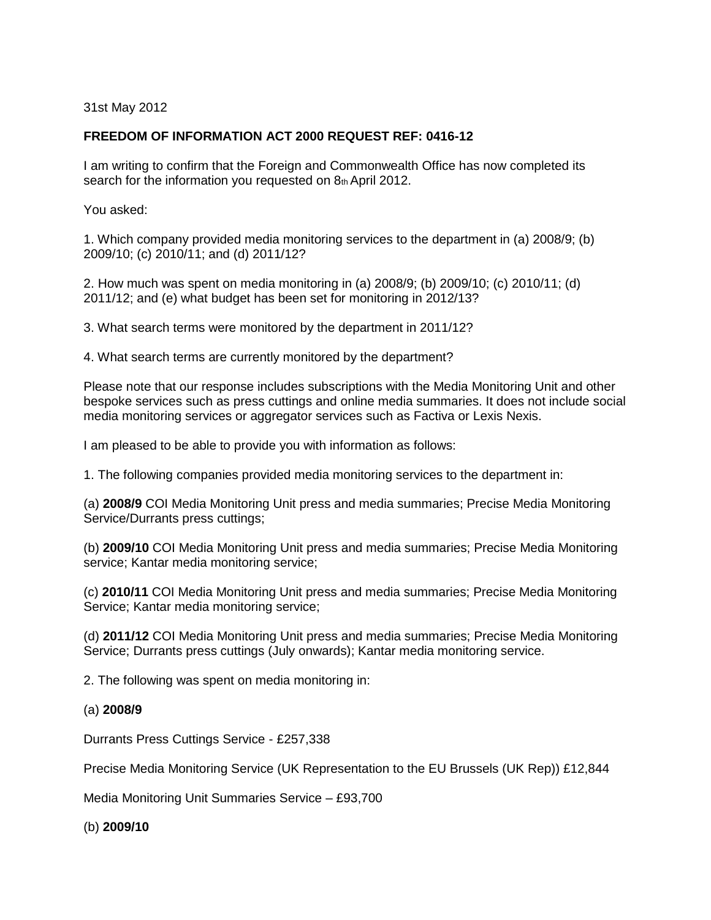31st May 2012

# **FREEDOM OF INFORMATION ACT 2000 REQUEST REF: 0416-12**

I am writing to confirm that the Foreign and Commonwealth Office has now completed its search for the information you requested on 8th April 2012.

You asked:

1. Which company provided media monitoring services to the department in (a) 2008/9; (b) 2009/10; (c) 2010/11; and (d) 2011/12?

2. How much was spent on media monitoring in (a) 2008/9; (b) 2009/10; (c) 2010/11; (d) 2011/12; and (e) what budget has been set for monitoring in 2012/13?

3. What search terms were monitored by the department in 2011/12?

4. What search terms are currently monitored by the department?

Please note that our response includes subscriptions with the Media Monitoring Unit and other bespoke services such as press cuttings and online media summaries. It does not include social media monitoring services or aggregator services such as Factiva or Lexis Nexis.

I am pleased to be able to provide you with information as follows:

1. The following companies provided media monitoring services to the department in:

(a) **2008/9** COI Media Monitoring Unit press and media summaries; Precise Media Monitoring Service/Durrants press cuttings;

(b) **2009/10** COI Media Monitoring Unit press and media summaries; Precise Media Monitoring service; Kantar media monitoring service;

(c) **2010/11** COI Media Monitoring Unit press and media summaries; Precise Media Monitoring Service; Kantar media monitoring service;

(d) **2011/12** COI Media Monitoring Unit press and media summaries; Precise Media Monitoring Service; Durrants press cuttings (July onwards); Kantar media monitoring service.

2. The following was spent on media monitoring in:

## (a) **2008/9**

Durrants Press Cuttings Service - £257,338

Precise Media Monitoring Service (UK Representation to the EU Brussels (UK Rep)) £12,844

Media Monitoring Unit Summaries Service – £93,700

(b) **2009/10**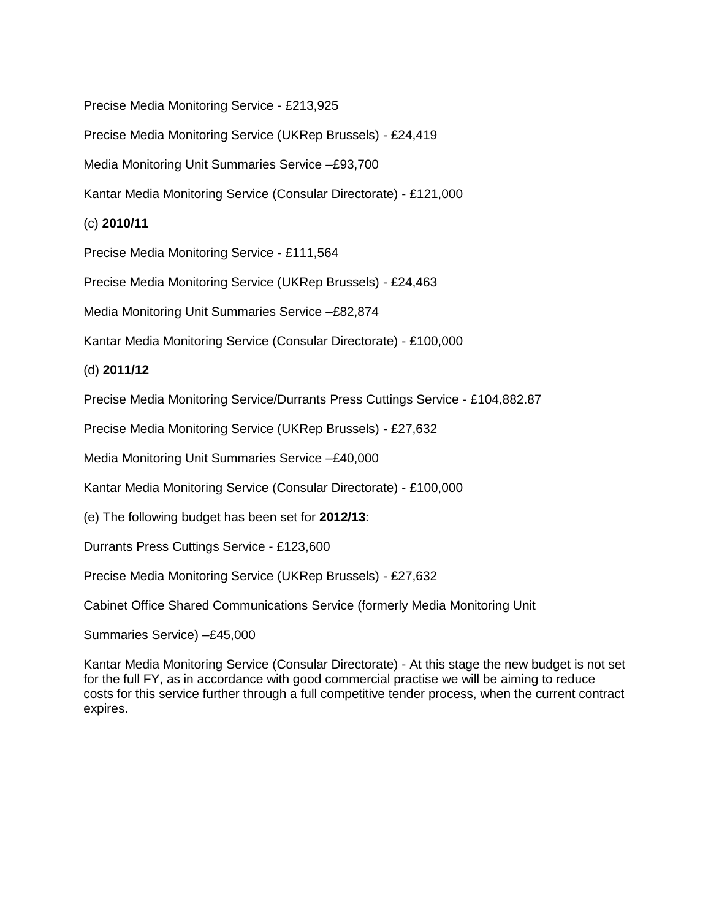Precise Media Monitoring Service - £213,925

Precise Media Monitoring Service (UKRep Brussels) - £24,419

Media Monitoring Unit Summaries Service –£93,700

Kantar Media Monitoring Service (Consular Directorate) - £121,000

(c) **2010/11**

Precise Media Monitoring Service - £111,564

Precise Media Monitoring Service (UKRep Brussels) - £24,463

Media Monitoring Unit Summaries Service –£82,874

Kantar Media Monitoring Service (Consular Directorate) - £100,000

# (d) **2011/12**

Precise Media Monitoring Service/Durrants Press Cuttings Service - £104,882.87

Precise Media Monitoring Service (UKRep Brussels) - £27,632

Media Monitoring Unit Summaries Service –£40,000

Kantar Media Monitoring Service (Consular Directorate) - £100,000

(e) The following budget has been set for **2012/13**:

Durrants Press Cuttings Service - £123,600

Precise Media Monitoring Service (UKRep Brussels) - £27,632

Cabinet Office Shared Communications Service (formerly Media Monitoring Unit

Summaries Service) –£45,000

Kantar Media Monitoring Service (Consular Directorate) - At this stage the new budget is not set for the full FY, as in accordance with good commercial practise we will be aiming to reduce costs for this service further through a full competitive tender process, when the current contract expires.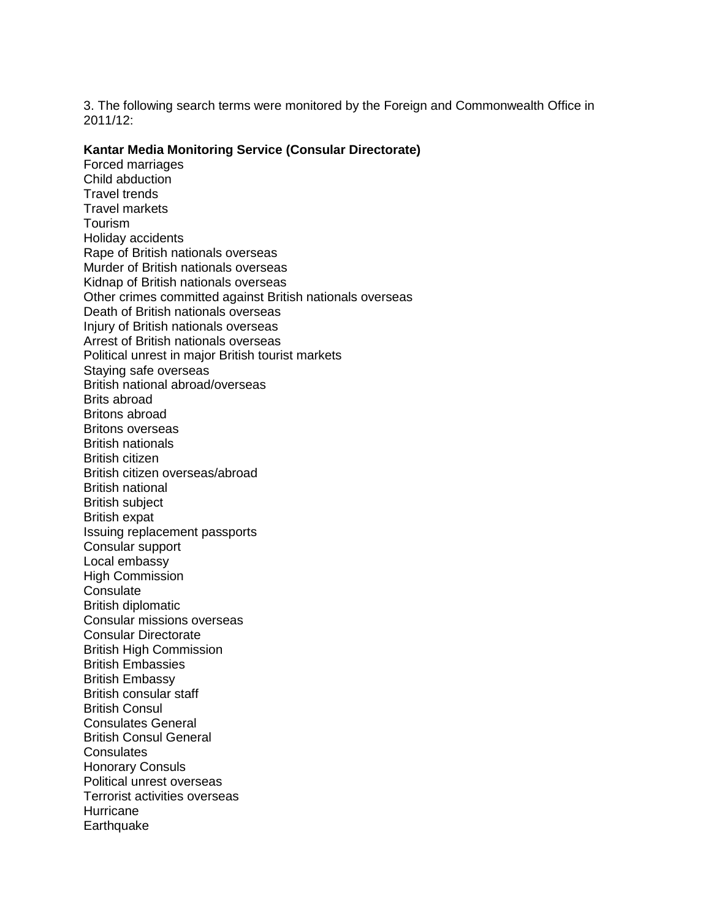3. The following search terms were monitored by the Foreign and Commonwealth Office in 2011/12:

#### **Kantar Media Monitoring Service (Consular Directorate)**

Forced marriages Child abduction Travel trends Travel markets Tourism Holiday accidents Rape of British nationals overseas Murder of British nationals overseas Kidnap of British nationals overseas Other crimes committed against British nationals overseas Death of British nationals overseas Injury of British nationals overseas Arrest of British nationals overseas Political unrest in major British tourist markets Staying safe overseas British national abroad/overseas Brits abroad Britons abroad Britons overseas British nationals British citizen British citizen overseas/abroad British national British subject British expat Issuing replacement passports Consular support Local embassy High Commission **Consulate** British diplomatic Consular missions overseas Consular Directorate British High Commission British Embassies British Embassy British consular staff British Consul Consulates General British Consul General **Consulates** Honorary Consuls Political unrest overseas Terrorist activities overseas **Hurricane Earthquake**